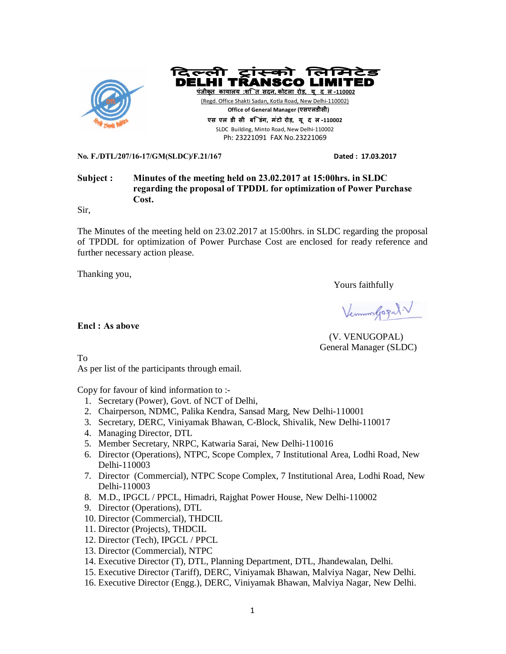



**एस एल डी सी बि डंग, मंटो रोड़, यू द ल-110002**  SLDC Building, Minto Road, New Delhi-110002 Ph: 23221091 FAX No.23221069

**No. F./DTL/207/16-17/GM(SLDC)/F.21/167 Dated : 17.03.2017** 

# **Subject : Minutes of the meeting held on 23.02.2017 at 15:00hrs. in SLDC regarding the proposal of TPDDL for optimization of Power Purchase Cost.**

Sir,

The Minutes of the meeting held on 23.02.2017 at 15:00hrs. in SLDC regarding the proposal of TPDDL for optimization of Power Purchase Cost are enclosed for ready reference and further necessary action please.

Thanking you,

**Encl : As above**

Yours faithfully

Vermon Gogal V

 (V. VENUGOPAL) General Manager (SLDC)

To

As per list of the participants through email.

Copy for favour of kind information to :-

- 1. Secretary (Power), Govt. of NCT of Delhi,
- 2. Chairperson, NDMC, Palika Kendra, Sansad Marg, New Delhi-110001
- 3. Secretary, DERC, Viniyamak Bhawan, C-Block, Shivalik, New Delhi-110017
- 4. Managing Director, DTL
- 5. Member Secretary, NRPC, Katwaria Sarai, New Delhi-110016
- 6. Director (Operations), NTPC, Scope Complex, 7 Institutional Area, Lodhi Road, New Delhi-110003
- 7. Director (Commercial), NTPC Scope Complex, 7 Institutional Area, Lodhi Road, New Delhi-110003
- 8. M.D., IPGCL / PPCL, Himadri, Rajghat Power House, New Delhi-110002
- 9. Director (Operations), DTL
- 10. Director (Commercial), THDCIL
- 11. Director (Projects), THDCIL
- 12. Director (Tech), IPGCL / PPCL
- 13. Director (Commercial), NTPC
- 14. Executive Director (T), DTL, Planning Department, DTL, Jhandewalan, Delhi.
- 15. Executive Director (Tariff), DERC, Viniyamak Bhawan, Malviya Nagar, New Delhi.
- 16. Executive Director (Engg.), DERC, Viniyamak Bhawan, Malviya Nagar, New Delhi.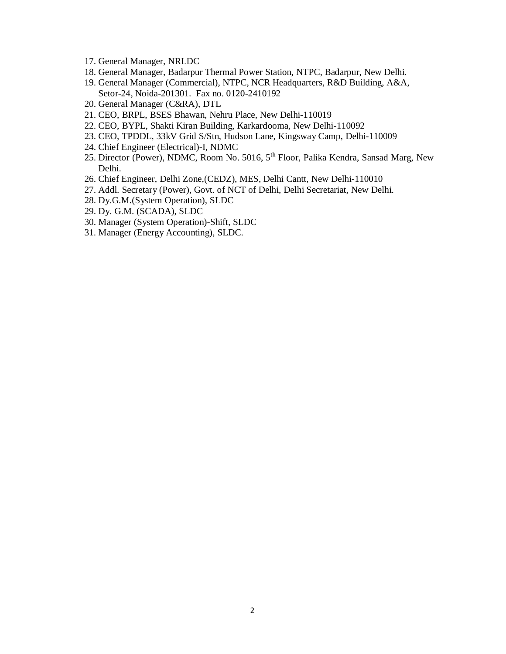- 17. General Manager, NRLDC
- 18. General Manager, Badarpur Thermal Power Station, NTPC, Badarpur, New Delhi.
- 19. General Manager (Commercial), NTPC, NCR Headquarters, R&D Building, A&A, Setor-24, Noida-201301. Fax no. 0120-2410192
- 20. General Manager (C&RA), DTL
- 21. CEO, BRPL, BSES Bhawan, Nehru Place, New Delhi-110019
- 22. CEO, BYPL, Shakti Kiran Building, Karkardooma, New Delhi-110092
- 23. CEO, TPDDL, 33kV Grid S/Stn, Hudson Lane, Kingsway Camp, Delhi-110009
- 24. Chief Engineer (Electrical)-I, NDMC
- 25. Director (Power), NDMC, Room No. 5016, 5<sup>th</sup> Floor, Palika Kendra, Sansad Marg, New Delhi.
- 26. Chief Engineer, Delhi Zone,(CEDZ), MES, Delhi Cantt, New Delhi-110010
- 27. Addl. Secretary (Power), Govt. of NCT of Delhi, Delhi Secretariat, New Delhi.
- 28. Dy.G.M.(System Operation), SLDC
- 29. Dy. G.M. (SCADA), SLDC
- 30. Manager (System Operation)-Shift, SLDC
- 31. Manager (Energy Accounting), SLDC.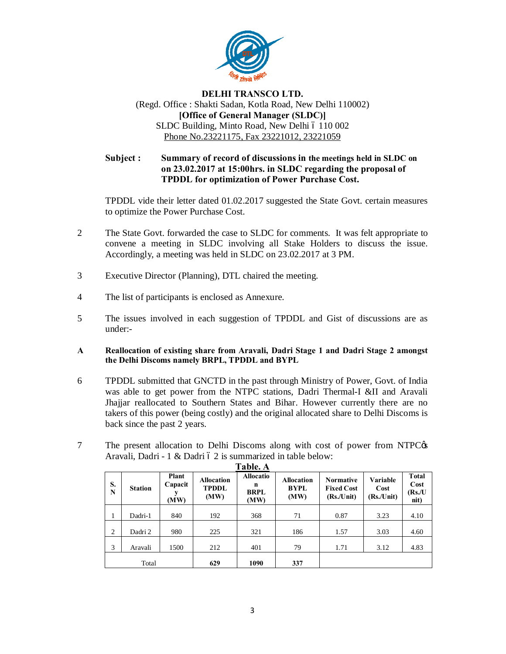

# **DELHI TRANSCO LTD.** (Regd. Office : Shakti Sadan, Kotla Road, New Delhi 110002) **[Office of General Manager (SLDC)]** SLDC Building, Minto Road, New Delhi 6 110 002 Phone No.23221175, Fax 23221012, 23221059

**Subject : Summary of record of discussions in the meetings held in SLDC on on 23.02.2017 at 15:00hrs. in SLDC regarding the proposal of TPDDL for optimization of Power Purchase Cost.**

TPDDL vide their letter dated 01.02.2017 suggested the State Govt. certain measures to optimize the Power Purchase Cost.

- 2 The State Govt. forwarded the case to SLDC for comments. It was felt appropriate to convene a meeting in SLDC involving all Stake Holders to discuss the issue. Accordingly, a meeting was held in SLDC on 23.02.2017 at 3 PM.
- 3 Executive Director (Planning), DTL chaired the meeting.
- 4 The list of participants is enclosed as Annexure.
- 5 The issues involved in each suggestion of TPDDL and Gist of discussions are as under:-
- **A Reallocation of existing share from Aravali, Dadri Stage 1 and Dadri Stage 2 amongst the Delhi Discoms namely BRPL, TPDDL and BYPL**
- 6 TPDDL submitted that GNCTD in the past through Ministry of Power, Govt. of India was able to get power from the NTPC stations, Dadri Thermal-I &II and Aravali Jhajjar reallocated to Southern States and Bihar. However currently there are no takers of this power (being costly) and the original allocated share to Delhi Discoms is back since the past 2 years.
- 7 The present allocation to Delhi Discoms along with cost of power from NTPC $\circ$ s Aravali, Dadri - 1 & Dadri  $62$  is summarized in table below:

| S.<br>N | <b>Station</b> | Plant<br>Capacit<br>(MW) | <b>Allocation</b><br><b>TPDDL</b><br>(MW) | <b>Allocatio</b><br>n<br><b>BRPL</b><br>(MW) | <b>Allocation</b><br><b>BYPL</b><br>(MW) | <b>Normative</b><br><b>Fixed Cost</b><br>(Rs/Unit) | Variable<br>Cost<br>(Rs/Unit) | <b>T</b> otal<br>Cost<br>(Rs/U)<br>$\dot{\mathbf{n}}$ it) |
|---------|----------------|--------------------------|-------------------------------------------|----------------------------------------------|------------------------------------------|----------------------------------------------------|-------------------------------|-----------------------------------------------------------|
| 1       | Dadri-1        | 840                      | 192                                       | 368                                          | 71                                       | 0.87                                               | 3.23                          | 4.10                                                      |
| 2       | Dadri 2        | 980                      | 225                                       | 321                                          | 186                                      | 1.57                                               | 3.03                          | 4.60                                                      |
| 3       | Aravali        | 1500                     | 212                                       | 401                                          | 79                                       | 1.71                                               | 3.12                          | 4.83                                                      |
|         | Total          |                          | 629                                       | 1090                                         | 337                                      |                                                    |                               |                                                           |

**Table. A**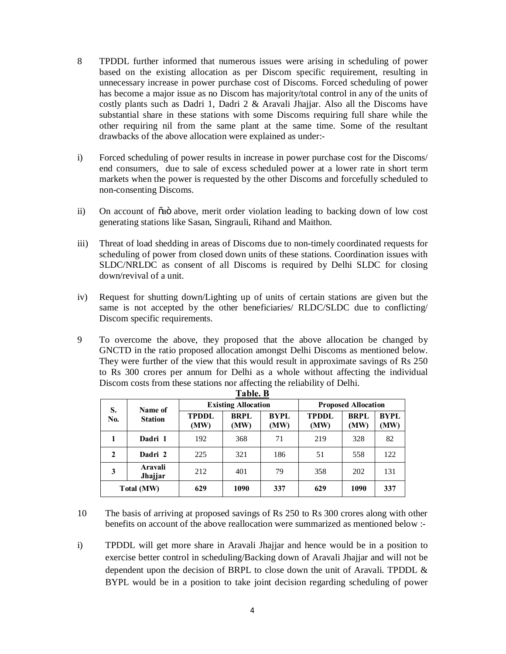- 8 TPDDL further informed that numerous issues were arising in scheduling of power based on the existing allocation as per Discom specific requirement, resulting in unnecessary increase in power purchase cost of Discoms. Forced scheduling of power has become a major issue as no Discom has majority/total control in any of the units of costly plants such as Dadri 1, Dadri 2 & Aravali Jhajjar. Also all the Discoms have substantial share in these stations with some Discoms requiring full share while the other requiring nil from the same plant at the same time. Some of the resultant drawbacks of the above allocation were explained as under:-
- i) Forced scheduling of power results in increase in power purchase cost for the Discoms/ end consumers, due to sale of excess scheduled power at a lower rate in short term markets when the power is requested by the other Discoms and forcefully scheduled to non-consenting Discoms.
- ii) On account of  $\tilde{\alpha}$  above, merit order violation leading to backing down of low cost generating stations like Sasan, Singrauli, Rihand and Maithon.
- iii) Threat of load shedding in areas of Discoms due to non-timely coordinated requests for scheduling of power from closed down units of these stations. Coordination issues with SLDC/NRLDC as consent of all Discoms is required by Delhi SLDC for closing down/revival of a unit.
- iv) Request for shutting down/Lighting up of units of certain stations are given but the same is not accepted by the other beneficiaries/ RLDC/SLDC due to conflicting/ Discom specific requirements.
- 9 To overcome the above, they proposed that the above allocation be changed by GNCTD in the ratio proposed allocation amongst Delhi Discoms as mentioned below. They were further of the view that this would result in approximate savings of Rs 250 to Rs 300 crores per annum for Delhi as a whole without affecting the individual Discom costs from these stations nor affecting the reliability of Delhi. **Table. B**

|                                        | 1 apie. B          |                      |                            |              |                            |                     |                     |  |  |  |
|----------------------------------------|--------------------|----------------------|----------------------------|--------------|----------------------------|---------------------|---------------------|--|--|--|
| S.<br>Name of<br>No.<br><b>Station</b> |                    |                      | <b>Existing Allocation</b> |              | <b>Proposed Allocation</b> |                     |                     |  |  |  |
|                                        |                    | <b>TPDDL</b><br>(MW) | <b>BRPL</b><br>(MW)        | BYPL<br>(MW) | <b>TPDDL</b><br>(MW)       | <b>BRPL</b><br>(MW) | <b>BYPL</b><br>(MW) |  |  |  |
|                                        | Dadri 1            | 192                  | 368                        | 71           | 219                        | 328                 | 82                  |  |  |  |
| 2                                      | Dadri 2            | 225                  | 321                        | 186          | 51                         | 558                 | 122                 |  |  |  |
| 3                                      | Aravali<br>Jhajjar | 212                  | 401                        | 79           | 358                        | 202                 | 131                 |  |  |  |
|                                        | Total (MW)         | 629                  | 1090                       | 337          | 629                        | 1090                | 337                 |  |  |  |

10 The basis of arriving at proposed savings of Rs 250 to Rs 300 crores along with other benefits on account of the above reallocation were summarized as mentioned below :-

i) TPDDL will get more share in Aravali Jhajjar and hence would be in a position to exercise better control in scheduling/Backing down of Aravali Jhajjar and will not be dependent upon the decision of BRPL to close down the unit of Aravali. TPDDL & BYPL would be in a position to take joint decision regarding scheduling of power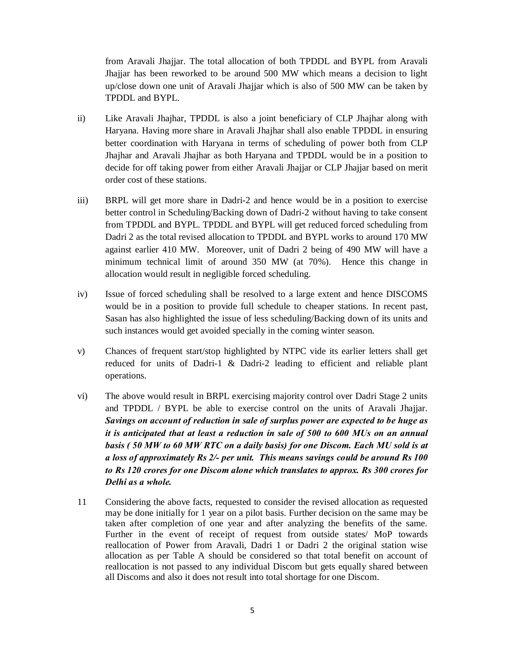from Aravali Jhajjar. The total allocation of both TPDDL and BYPL from Aravali Jhajjar has been reworked to be around 500 MW which means a decision to light up/close down one unit of Aravali Jhajjar which is also of 500 MW can be taken by TPDDL and BYPL.

- ii) Like Aravali Jhajhar, TPDDL is also a joint beneficiary of CLP Jhajhar along with Haryana. Having more share in Aravali Jhajhar shall also enable TPDDL in ensuring better coordination with Haryana in terms of scheduling of power both from CLP Jhajhar and Aravali Jhajhar as both Haryana and TPDDL would be in a position to decide for off taking power from either Aravali Jhajjar or CLP Jhajjar based on merit order cost of these stations.
- iii) BRPL will get more share in Dadri-2 and hence would be in a position to exercise better control in Scheduling/Backing down of Dadri-2 without having to take consent from TPDDL and BYPL. TPDDL and BYPL will get reduced forced scheduling from Dadri 2 as the total revised allocation to TPDDL and BYPL works to around 170 MW against earlier 410 MW. Moreover, unit of Dadri 2 being of 490 MW will have a minimum technical limit of around 350 MW (at 70%). Hence this change in allocation would result in negligible forced scheduling.
- iv) Issue of forced scheduling shall be resolved to a large extent and hence DISCOMS would be in a position to provide full schedule to cheaper stations. In recent past, Sasan has also highlighted the issue of less scheduling/Backing down of its units and such instances would get avoided specially in the coming winter season.
- v) Chances of frequent start/stop highlighted by NTPC vide its earlier letters shall get reduced for units of Dadri-1 & Dadri-2 leading to efficient and reliable plant operations.
- vi) The above would result in BRPL exercising majority control over Dadri Stage 2 units and TPDDL / BYPL be able to exercise control on the units of Aravali Jhajjar. *Savings on account of reduction in sale of surplus power are expected to be huge as it is anticipated that at least a reduction in sale of 500 to 600 MUs on an annual basis ( 50 MW to 60 MW RTC on a daily basis) for one Discom. Each MU sold is at a loss of approximately Rs 2/- per unit. This means savings could be around Rs 100 to Rs 120 crores for one Discom alone which translates to approx. Rs 300 crores for Delhi as a whole.*
- 11 Considering the above facts, requested to consider the revised allocation as requested may be done initially for 1 year on a pilot basis. Further decision on the same may be taken after completion of one year and after analyzing the benefits of the same. Further in the event of receipt of request from outside states/ MoP towards reallocation of Power from Aravali, Dadri 1 or Dadri 2 the original station wise allocation as per Table A should be considered so that total benefit on account of reallocation is not passed to any individual Discom but gets equally shared between all Discoms and also it does not result into total shortage for one Discom.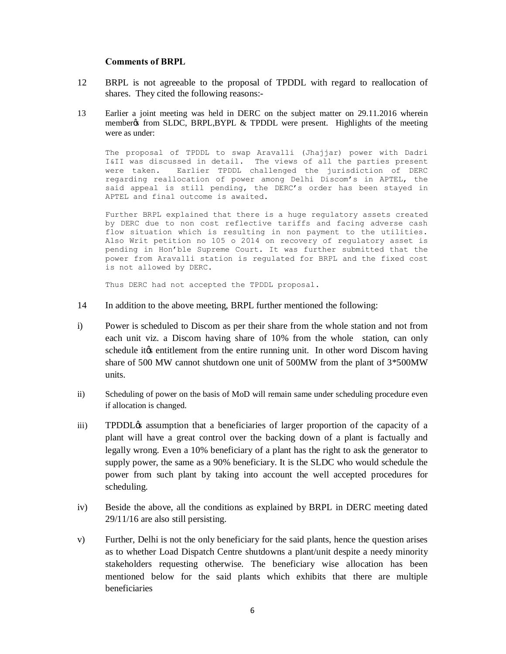### **Comments of BRPL**

- 12 BRPL is not agreeable to the proposal of TPDDL with regard to reallocation of shares. They cited the following reasons:-
- 13 Earlier a joint meeting was held in DERC on the subject matter on 29.11.2016 wherein member from SLDC, BRPL, BYPL  $\&$  TPDDL were present. Highlights of the meeting were as under:

The proposal of TPDDL to swap Aravalli (Jhajjar) power with Dadri I&II was discussed in detail. The views of all the parties present were taken. Earlier TPDDL challenged the jurisdiction of DERC regarding reallocation of power among Delhi Discom's in APTEL, the said appeal is still pending, the DERC's order has been stayed in APTEL and final outcome is awaited.

Further BRPL explained that there is a huge regulatory assets created by DERC due to non cost reflective tariffs and facing adverse cash flow situation which is resulting in non payment to the utilities. Also Writ petition no 105 o 2014 on recovery of regulatory asset is pending in Hon'ble Supreme Court. It was further submitted that the power from Aravalli station is regulated for BRPL and the fixed cost is not allowed by DERC.

Thus DERC had not accepted the TPDDL proposal.

- 14 In addition to the above meeting, BRPL further mentioned the following:
- i) Power is scheduled to Discom as per their share from the whole station and not from each unit viz. a Discom having share of 10% from the whole station, can only schedule it to entitlement from the entire running unit. In other word Discom having share of 500 MW cannot shutdown one unit of 500MW from the plant of 3\*500MW units.
- ii) Scheduling of power on the basis of MoD will remain same under scheduling procedure even if allocation is changed.
- iii) TPDDL<sub>C</sub> assumption that a beneficiaries of larger proportion of the capacity of a plant will have a great control over the backing down of a plant is factually and legally wrong. Even a 10% beneficiary of a plant has the right to ask the generator to supply power, the same as a 90% beneficiary. It is the SLDC who would schedule the power from such plant by taking into account the well accepted procedures for scheduling.
- iv) Beside the above, all the conditions as explained by BRPL in DERC meeting dated 29/11/16 are also still persisting.
- v) Further, Delhi is not the only beneficiary for the said plants, hence the question arises as to whether Load Dispatch Centre shutdowns a plant/unit despite a needy minority stakeholders requesting otherwise. The beneficiary wise allocation has been mentioned below for the said plants which exhibits that there are multiple beneficiaries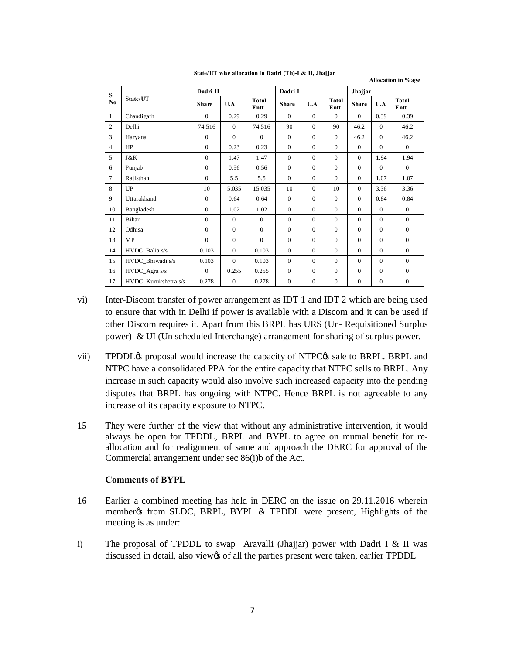|                | State/UT wise allocation in Dadri (Th)-I & II, Jhajjar<br>Allocation in % age |              |                |                      |                |              |                      |              |              |                      |
|----------------|-------------------------------------------------------------------------------|--------------|----------------|----------------------|----------------|--------------|----------------------|--------------|--------------|----------------------|
| S              |                                                                               | Dadri-II     |                |                      | Dadri-I        |              |                      | Jhajjar      |              |                      |
| N <sub>0</sub> | State/UT                                                                      | <b>Share</b> | U.A            | <b>Total</b><br>Entt | <b>Share</b>   | U.A          | <b>Total</b><br>Entt | <b>Share</b> | U.A          | <b>Total</b><br>Entt |
| $\mathbf{1}$   | Chandigarh                                                                    | $\Omega$     | 0.29           | 0.29                 | $\Omega$       | $\Omega$     | $\Omega$             | $\Omega$     | 0.39         | 0.39                 |
| $\overline{c}$ | Delhi                                                                         | 74.516       | $\Omega$       | 74.516               | 90             | $\Omega$     | 90                   | 46.2         | $\Omega$     | 46.2                 |
| 3              | Haryana                                                                       | $\Omega$     | $\overline{0}$ | $\Omega$             | $\Omega$       | $\Omega$     | $\Omega$             | 46.2         | $\Omega$     | 46.2                 |
| $\overline{4}$ | HP                                                                            | $\mathbf{0}$ | 0.23           | 0.23                 | $\overline{0}$ | $\mathbf{0}$ | $\Omega$             | $\mathbf{0}$ | $\mathbf{0}$ | $\mathbf{0}$         |
| 5              | J&K                                                                           | $\Omega$     | 1.47           | 1.47                 | $\Omega$       | $\Omega$     | $\Omega$             | $\Omega$     | 1.94         | 1.94                 |
| 6              | Punjab                                                                        | $\Omega$     | 0.56           | 0.56                 | $\Omega$       | $\Omega$     | $\Omega$             | $\Omega$     | $\Omega$     | $\Omega$             |
| $\tau$         | Rajisthan                                                                     | $\Omega$     | 5.5            | 5.5                  | $\Omega$       | $\Omega$     | $\Omega$             | $\Omega$     | 1.07         | 1.07                 |
| 8              | UP                                                                            | 10           | 5.035          | 15.035               | 10             | $\Omega$     | 10                   | $\mathbf{0}$ | 3.36         | 3.36                 |
| 9              | Uttarakhand                                                                   | $\Omega$     | 0.64           | 0.64                 | $\Omega$       | $\Omega$     | $\Omega$             | $\Omega$     | 0.84         | 0.84                 |
| 10             | Bangladesh                                                                    | $\mathbf{0}$ | 1.02           | 1.02                 | $\Omega$       | $\Omega$     | $\Omega$             | $\Omega$     | $\mathbf{0}$ | $\mathbf{0}$         |
| 11             | Bihar                                                                         | $\theta$     | $\theta$       | $\overline{0}$       | $\mathbf{0}$   | $\theta$     | $\mathbf{0}$         | $\mathbf{0}$ | $\mathbf{0}$ | $\mathbf{0}$         |
| 12             | Odhisa                                                                        | $\mathbf{0}$ | $\theta$       | $\Omega$             | $\overline{0}$ | $\Omega$     | $\Omega$             | $\Omega$     | $\mathbf{0}$ | $\mathbf{0}$         |
| 13             | MP                                                                            | $\Omega$     | $\theta$       | $\Omega$             | $\mathbf{0}$   | $\Omega$     | $\mathbf{0}$         | $\mathbf{0}$ | $\mathbf{0}$ | $\mathbf{0}$         |
| 14             | HVDC_Balia s/s                                                                | 0.103        | $\theta$       | 0.103                | $\Omega$       | $\Omega$     | $\Omega$             | $\Omega$     | $\Omega$     | $\Omega$             |
| 15             | HVDC Bhiwadi s/s                                                              | 0.103        | $\overline{0}$ | 0.103                | $\overline{0}$ | $\Omega$     | $\overline{0}$       | $\mathbf{0}$ | $\mathbf{0}$ | $\mathbf{0}$         |
| 16             | HVDC_Agra s/s                                                                 | $\mathbf{0}$ | 0.255          | 0.255                | $\overline{0}$ | $\Omega$     | $\Omega$             | $\mathbf{0}$ | $\mathbf{0}$ | $\mathbf{0}$         |
| 17             | HVDC Kurukshetra s/s                                                          | 0.278        | $\overline{0}$ | 0.278                | $\mathbf{0}$   | $\mathbf{0}$ | $\mathbf{0}$         | $\mathbf{0}$ | $\mathbf{0}$ | $\mathbf{0}$         |

- vi) Inter-Discom transfer of power arrangement as IDT 1 and IDT 2 which are being used to ensure that with in Delhi if power is available with a Discom and it can be used if other Discom requires it. Apart from this BRPL has URS (Un- Requisitioned Surplus power) & UI (Un scheduled Interchange) arrangement for sharing of surplus power.
- vii) TPDDL $\alpha$  proposal would increase the capacity of NTPC $\alpha$  sale to BRPL. BRPL and NTPC have a consolidated PPA for the entire capacity that NTPC sells to BRPL. Any increase in such capacity would also involve such increased capacity into the pending disputes that BRPL has ongoing with NTPC. Hence BRPL is not agreeable to any increase of its capacity exposure to NTPC.
- 15 They were further of the view that without any administrative intervention, it would always be open for TPDDL, BRPL and BYPL to agree on mutual benefit for reallocation and for realignment of same and approach the DERC for approval of the Commercial arrangement under sec 86(i)b of the Act.

# **Comments of BYPL**

- 16 Earlier a combined meeting has held in DERC on the issue on 29.11.2016 wherein member% from SLDC, BRPL, BYPL & TPDDL were present, Highlights of the meeting is as under:
- i) The proposal of TPDDL to swap Aravalli (Jhajjar) power with Dadri I & II was discussed in detail, also view's of all the parties present were taken, earlier TPDDL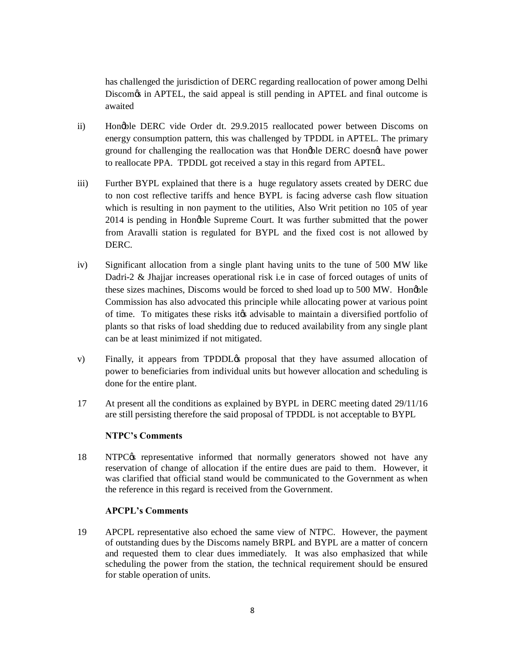has challenged the jurisdiction of DERC regarding reallocation of power among Delhi Discom<sub>of</sub> in APTEL, the said appeal is still pending in APTEL and final outcome is awaited

- ii) Hon'ble DERC vide Order dt. 29.9.2015 reallocated power between Discoms on energy consumption pattern, this was challenged by TPDDL in APTEL. The primary ground for challenging the reallocation was that Honoble DERC doesnot have power to reallocate PPA. TPDDL got received a stay in this regard from APTEL.
- iii) Further BYPL explained that there is a huge regulatory assets created by DERC due to non cost reflective tariffs and hence BYPL is facing adverse cash flow situation which is resulting in non payment to the utilities, Also Writ petition no 105 of year 2014 is pending in Honoble Supreme Court. It was further submitted that the power from Aravalli station is regulated for BYPL and the fixed cost is not allowed by DERC.
- iv) Significant allocation from a single plant having units to the tune of 500 MW like Dadri-2 & Jhajjar increases operational risk i.e in case of forced outages of units of these sizes machines, Discoms would be forced to shed load up to 500 MW. Hongble Commission has also advocated this principle while allocating power at various point of time. To mitigates these risks it advisable to maintain a diversified portfolio of plants so that risks of load shedding due to reduced availability from any single plant can be at least minimized if not mitigated.
- v) Finally, it appears from TPDDL<sub>O</sub> proposal that they have assumed allocation of power to beneficiaries from individual units but however allocation and scheduling is done for the entire plant.
- 17 At present all the conditions as explained by BYPL in DERC meeting dated 29/11/16 are still persisting therefore the said proposal of TPDDL is not acceptable to BYPL

# **NTPC's Comments**

18 NTPC $\alpha$  representative informed that normally generators showed not have any reservation of change of allocation if the entire dues are paid to them. However, it was clarified that official stand would be communicated to the Government as when the reference in this regard is received from the Government.

# **APCPL's Comments**

19 APCPL representative also echoed the same view of NTPC. However, the payment of outstanding dues by the Discoms namely BRPL and BYPL are a matter of concern and requested them to clear dues immediately. It was also emphasized that while scheduling the power from the station, the technical requirement should be ensured for stable operation of units.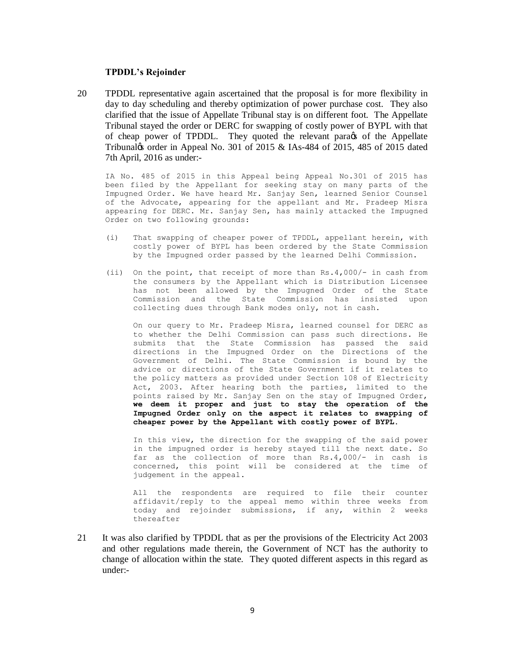### **TPDDL's Rejoinder**

20 TPDDL representative again ascertained that the proposal is for more flexibility in day to day scheduling and thereby optimization of power purchase cost. They also clarified that the issue of Appellate Tribunal stay is on different foot. The Appellate Tribunal stayed the order or DERC for swapping of costly power of BYPL with that of cheap power of TPDDL. They quoted the relevant para $\alpha$  of the Appellate Tribunal $\⊂>68$  order in Appeal No. 301 of 2015  $\⊂>185-484$  of 2015, 485 of 2015 dated 7th April, 2016 as under:-

IA No. 485 of 2015 in this Appeal being Appeal No.301 of 2015 has been filed by the Appellant for seeking stay on many parts of the Impugned Order. We have heard Mr. Sanjay Sen, learned Senior Counsel of the Advocate, appearing for the appellant and Mr. Pradeep Misra appearing for DERC. Mr. Sanjay Sen, has mainly attacked the Impugned Order on two following grounds:

- (i) That swapping of cheaper power of TPDDL, appellant herein, with costly power of BYPL has been ordered by the State Commission by the Impugned order passed by the learned Delhi Commission.
- (ii) On the point, that receipt of more than Rs.4,000/- in cash from the consumers by the Appellant which is Distribution Licensee has not been allowed by the Impugned Order of the State Commission and the State Commission has insisted upon collecting dues through Bank modes only, not in cash.

On our query to Mr. Pradeep Misra, learned counsel for DERC as to whether the Delhi Commission can pass such directions. He submits that the State Commission has passed the said directions in the Impugned Order on the Directions of the Government of Delhi. The State Commission is bound by the advice or directions of the State Government if it relates to the policy matters as provided under Section 108 of Electricity Act, 2003. After hearing both the parties, limited to the points raised by Mr. Sanjay Sen on the stay of Impugned Order, **we deem it proper and just to stay the operation of the Impugned Order only on the aspect it relates to swapping of cheaper power by the Appellant with costly power of BYPL.** 

In this view, the direction for the swapping of the said power in the impugned order is hereby stayed till the next date. So far as the collection of more than Rs.4,000/- in cash is concerned, this point will be considered at the time of judgement in the appeal.

All the respondents are required to file their counter affidavit/reply to the appeal memo within three weeks from today and rejoinder submissions, if any, within 2 weeks thereafter

21 It was also clarified by TPDDL that as per the provisions of the Electricity Act 2003 and other regulations made therein, the Government of NCT has the authority to change of allocation within the state. They quoted different aspects in this regard as under:-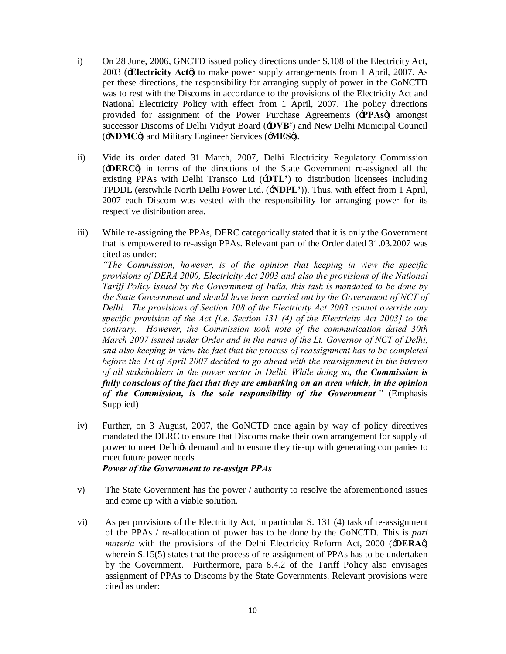- i) On 28 June, 2006, GNCTD issued policy directions under S.108 of the Electricity Act, 2003 (**Electricity Act** $\phi$ ) to make power supply arrangements from 1 April, 2007. As per these directions, the responsibility for arranging supply of power in the GoNCTD was to rest with the Discoms in accordance to the provisions of the Electricity Act and National Electricity Policy with effect from 1 April, 2007. The policy directions provided for assignment of the Power Purchase Agreements ('**PPAs**') amongst successor Discoms of Delhi Vidyut Board ('**DVB'**) and New Delhi Municipal Council ('**NDMC**') and Military Engineer Services ('**MES**').
- ii) Vide its order dated 31 March, 2007, Delhi Electricity Regulatory Commission ('**DERC**') in terms of the directions of the State Government re-assigned all the existing PPAs with Delhi Transco Ltd ('**DTL'**) to distribution licensees including TPDDL (erstwhile North Delhi Power Ltd. ('**NDPL'**)). Thus, with effect from 1 April, 2007 each Discom was vested with the responsibility for arranging power for its respective distribution area.
- iii) While re-assigning the PPAs, DERC categorically stated that it is only the Government that is empowered to re-assign PPAs. Relevant part of the Order dated 31.03.2007 was cited as under:-

*"The Commission, however, is of the opinion that keeping in view the specific provisions of DERA 2000, Electricity Act 2003 and also the provisions of the National Tariff Policy issued by the Government of India, this task is mandated to be done by the State Government and should have been carried out by the Government of NCT of Delhi. The provisions of Section 108 of the Electricity Act 2003 cannot override any specific provision of the Act [i.e. Section 131 (4) of the Electricity Act 2003] to the contrary. However, the Commission took note of the communication dated 30th March 2007 issued under Order and in the name of the Lt. Governor of NCT of Delhi, and also keeping in view the fact that the process of reassignment has to be completed before the 1st of April 2007 decided to go ahead with the reassignment in the interest of all stakeholders in the power sector in Delhi. While doing so, the Commission is fully conscious of the fact that they are embarking on an area which, in the opinion of the Commission, is the sole responsibility of the Government."* (Emphasis Supplied)

iv) Further, on 3 August, 2007, the GoNCTD once again by way of policy directives mandated the DERC to ensure that Discoms make their own arrangement for supply of power to meet Delhigs demand and to ensure they tie-up with generating companies to meet future power needs.

*Power of the Government to re-assign PPAs*

- v) The State Government has the power / authority to resolve the aforementioned issues and come up with a viable solution.
- vi) As per provisions of the Electricity Act, in particular S. 131 (4) task of re-assignment of the PPAs / re-allocation of power has to be done by the GoNCTD. This is *pari materia* with the provisions of the Delhi Electricity Reform Act, 2000 ( $\div$ **DERA** $\phi$ ) wherein S.15(5) states that the process of re-assignment of PPAs has to be undertaken by the Government. Furthermore, para 8.4.2 of the Tariff Policy also envisages assignment of PPAs to Discoms by the State Governments. Relevant provisions were cited as under: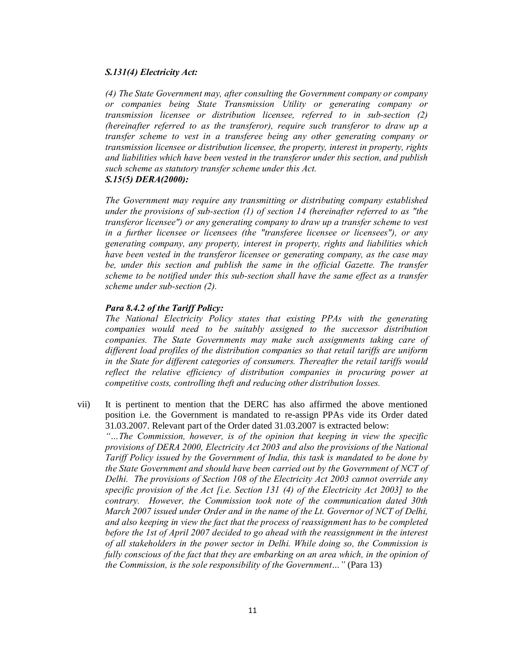## *S.131(4) Electricity Act:*

*(4) The State Government may, after consulting the Government company or company or companies being State Transmission Utility or generating company or transmission licensee or distribution licensee, referred to in sub-section (2) (hereinafter referred to as the transferor), require such transferor to draw up a transfer scheme to vest in a transferee being any other generating company or transmission licensee or distribution licensee, the property, interest in property, rights and liabilities which have been vested in the transferor under this section, and publish such scheme as statutory transfer scheme under this Act. S.15(5) DERA(2000):*

*The Government may require any transmitting or distributing company established under the provisions of sub-section (1) of section 14 (hereinafter referred to as "the transferor licensee") or any generating company to draw up a transfer scheme to vest in a further licensee or licensees (the "transferee licensee or licensees"), or any generating company, any property, interest in property, rights and liabilities which have been vested in the transferor licensee or generating company, as the case may be, under this section and publish the same in the official Gazette. The transfer scheme to be notified under this sub-section shall have the same effect as a transfer scheme under sub-section (2).*

### *Para 8.4.2 of the Tariff Policy:*

*The National Electricity Policy states that existing PPAs with the generating companies would need to be suitably assigned to the successor distribution companies. The State Governments may make such assignments taking care of different load profiles of the distribution companies so that retail tariffs are uniform in the State for different categories of consumers. Thereafter the retail tariffs would reflect the relative efficiency of distribution companies in procuring power at competitive costs, controlling theft and reducing other distribution losses.*

vii) It is pertinent to mention that the DERC has also affirmed the above mentioned position i.e. the Government is mandated to re-assign PPAs vide its Order dated 31.03.2007. Relevant part of the Order dated 31.03.2007 is extracted below:

*"…The Commission, however, is of the opinion that keeping in view the specific provisions of DERA 2000, Electricity Act 2003 and also the provisions of the National Tariff Policy issued by the Government of India, this task is mandated to be done by the State Government and should have been carried out by the Government of NCT of Delhi. The provisions of Section 108 of the Electricity Act 2003 cannot override any specific provision of the Act [i.e. Section 131 (4) of the Electricity Act 2003] to the contrary. However, the Commission took note of the communication dated 30th March 2007 issued under Order and in the name of the Lt. Governor of NCT of Delhi, and also keeping in view the fact that the process of reassignment has to be completed before the 1st of April 2007 decided to go ahead with the reassignment in the interest of all stakeholders in the power sector in Delhi. While doing so, the Commission is fully conscious of the fact that they are embarking on an area which, in the opinion of the Commission, is the sole responsibility of the Government…"* (Para 13)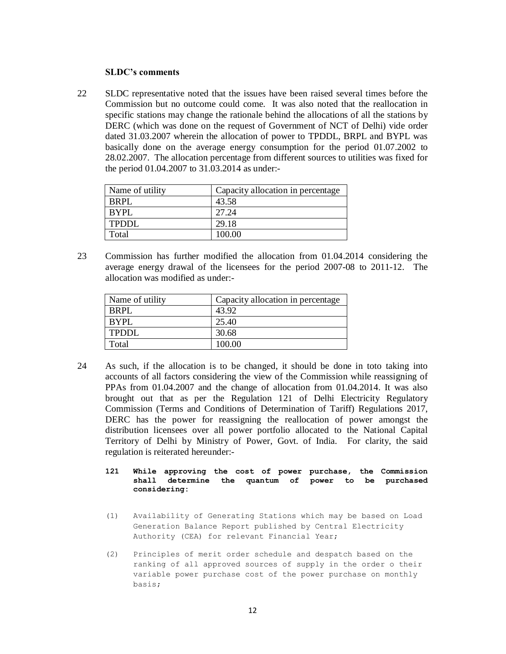### **SLDC's comments**

22 SLDC representative noted that the issues have been raised several times before the Commission but no outcome could come. It was also noted that the reallocation in specific stations may change the rationale behind the allocations of all the stations by DERC (which was done on the request of Government of NCT of Delhi) vide order dated 31.03.2007 wherein the allocation of power to TPDDL, BRPL and BYPL was basically done on the average energy consumption for the period 01.07.2002 to 28.02.2007. The allocation percentage from different sources to utilities was fixed for the period 01.04.2007 to 31.03.2014 as under:-

| Name of utility | Capacity allocation in percentage |
|-----------------|-----------------------------------|
| BRPL            | 43.58                             |
| <b>RYPL</b>     | 27.24                             |
| <b>TPDDL</b>    | 29.18                             |
| Total           | 100.00                            |

23 Commission has further modified the allocation from 01.04.2014 considering the average energy drawal of the licensees for the period 2007-08 to 2011-12. The allocation was modified as under:-

| Name of utility | Capacity allocation in percentage |
|-----------------|-----------------------------------|
| BRPL            | 43.92                             |
| BYPL            | 25.40                             |
| TPDDL           | 30.68                             |
| Total           | 100.00                            |

- 24 As such, if the allocation is to be changed, it should be done in toto taking into accounts of all factors considering the view of the Commission while reassigning of PPAs from 01.04.2007 and the change of allocation from 01.04.2014. It was also brought out that as per the Regulation 121 of Delhi Electricity Regulatory Commission (Terms and Conditions of Determination of Tariff) Regulations 2017, DERC has the power for reassigning the reallocation of power amongst the distribution licensees over all power portfolio allocated to the National Capital Territory of Delhi by Ministry of Power, Govt. of India. For clarity, the said regulation is reiterated hereunder:-
	- **121 While approving the cost of power purchase, the Commission shall determine the quantum of power to be purchased considering:**
	- (1) Availability of Generating Stations which may be based on Load Generation Balance Report published by Central Electricity Authority (CEA) for relevant Financial Year;
	- (2) Principles of merit order schedule and despatch based on the ranking of all approved sources of supply in the order o their variable power purchase cost of the power purchase on monthly basis;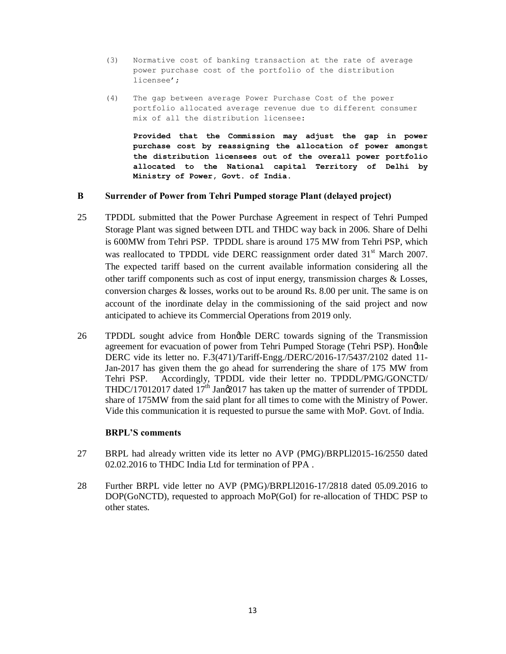- (3) Normative cost of banking transaction at the rate of average power purchase cost of the portfolio of the distribution licensee';
- (4) The gap between average Power Purchase Cost of the power portfolio allocated average revenue due to different consumer mix of all the distribution licensee:

**Provided that the Commission may adjust the gap in power purchase cost by reassigning the allocation of power amongst the distribution licensees out of the overall power portfolio allocated to the National capital Territory of Delhi by Ministry of Power, Govt. of India.**

### **B Surrender of Power from Tehri Pumped storage Plant (delayed project)**

- 25 TPDDL submitted that the Power Purchase Agreement in respect of Tehri Pumped Storage Plant was signed between DTL and THDC way back in 2006. Share of Delhi is 600MW from Tehri PSP. TPDDL share is around 175 MW from Tehri PSP, which was reallocated to TPDDL vide DERC reassignment order dated 31<sup>st</sup> March 2007. The expected tariff based on the current available information considering all the other tariff components such as cost of input energy, transmission charges & Losses, conversion charges & losses, works out to be around Rs. 8.00 per unit. The same is on account of the inordinate delay in the commissioning of the said project and now anticipated to achieve its Commercial Operations from 2019 only.
- 26 TPDDL sought advice from Hongble DERC towards signing of the Transmission agreement for evacuation of power from Tehri Pumped Storage (Tehri PSP). Honoble DERC vide its letter no. F.3(471)/Tariff-Engg./DERC/2016-17/5437/2102 dated 11- Jan-2017 has given them the go ahead for surrendering the share of 175 MW from Tehri PSP. Accordingly, TPDDL vide their letter no. TPDDL/PMG/GONCTD/ THDC/17012017 dated  $17<sup>th</sup>$  Jan $\alpha$ 2017 has taken up the matter of surrender of TPDDL share of 175MW from the said plant for all times to come with the Ministry of Power. Vide this communication it is requested to pursue the same with MoP. Govt. of India.

# **BRPL'S comments**

- 27 BRPL had already written vide its letter no AVP (PMG)/BRPLl2015-16/2550 dated 02.02.2016 to THDC India Ltd for termination of PPA .
- 28 Further BRPL vide letter no AVP (PMG)/BRPLl2016-17/2818 dated 05.09.2016 to DOP(GoNCTD), requested to approach MoP(GoI) for re-allocation of THDC PSP to other states.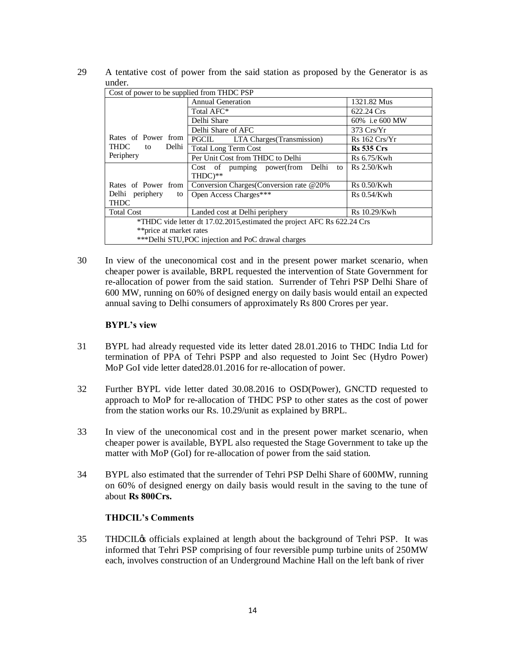| 29 | A tentative cost of power from the said station as proposed by the Generator is as |  |  |  |  |  |
|----|------------------------------------------------------------------------------------|--|--|--|--|--|
|    | under.                                                                             |  |  |  |  |  |

| Cost of power to be supplied from THDC PSP                               |                                                    |                    |  |  |  |
|--------------------------------------------------------------------------|----------------------------------------------------|--------------------|--|--|--|
|                                                                          | <b>Annual Generation</b>                           | 1321.82 Mus        |  |  |  |
|                                                                          | Total AFC*                                         | 622.24 Crs         |  |  |  |
|                                                                          | Delhi Share                                        | 60% i.e 600 MW     |  |  |  |
|                                                                          | Delhi Share of AFC                                 | $373$ Crs/ $Yr$    |  |  |  |
| Rates of Power from                                                      | LTA Charges (Transmission)<br>PGCIL                | Rs 162 Crs/Yr      |  |  |  |
| THDC to<br>Delhi                                                         | <b>Total Long Term Cost</b>                        | <b>Rs</b> 535 Crs  |  |  |  |
| Periphery                                                                | Per Unit Cost from THDC to Delhi                   | Rs 6.75/Kwh        |  |  |  |
|                                                                          | Cost of pumping power(from Delhi<br>to             | Rs 2.50/Kwh        |  |  |  |
|                                                                          | THDC)**                                            |                    |  |  |  |
| Rates of Power from                                                      | Conversion Charges (Conversion rate @20%)          | <b>Rs</b> 0.50/Kwh |  |  |  |
| Delhi periphery<br>to                                                    | Open Access Charges***                             | $Rs\ 0.54/Kwh$     |  |  |  |
| THDC                                                                     |                                                    |                    |  |  |  |
| <b>Total Cost</b>                                                        | Landed cost at Delhi periphery                     |                    |  |  |  |
| *THDC vide letter dt 17.02.2015, estimated the project AFC Rs 622.24 Crs |                                                    |                    |  |  |  |
| **price at market rates                                                  |                                                    |                    |  |  |  |
|                                                                          | ***Delhi STU, POC injection and PoC drawal charges |                    |  |  |  |

30 In view of the uneconomical cost and in the present power market scenario, when cheaper power is available, BRPL requested the intervention of State Government for re-allocation of power from the said station. Surrender of Tehri PSP Delhi Share of 600 MW, running on 60% of designed energy on daily basis would entail an expected annual saving to Delhi consumers of approximately Rs 800 Crores per year.

# **BYPL's view**

- 31 BYPL had already requested vide its letter dated 28.01.2016 to THDC India Ltd for termination of PPA of Tehri PSPP and also requested to Joint Sec (Hydro Power) MoP GoI vide letter dated28.01.2016 for re-allocation of power.
- 32 Further BYPL vide letter dated 30.08.2016 to OSD(Power), GNCTD requested to approach to MoP for re-allocation of THDC PSP to other states as the cost of power from the station works our Rs. 10.29/unit as explained by BRPL.
- 33 In view of the uneconomical cost and in the present power market scenario, when cheaper power is available, BYPL also requested the Stage Government to take up the matter with MoP (GoI) for re-allocation of power from the said station.
- 34 BYPL also estimated that the surrender of Tehri PSP Delhi Share of 600MW, running on 60% of designed energy on daily basis would result in the saving to the tune of about **Rs 800Crs.**

# **THDCIL's Comments**

35 THDCIL's officials explained at length about the background of Tehri PSP. It was informed that Tehri PSP comprising of four reversible pump turbine units of 250MW each, involves construction of an Underground Machine Hall on the left bank of river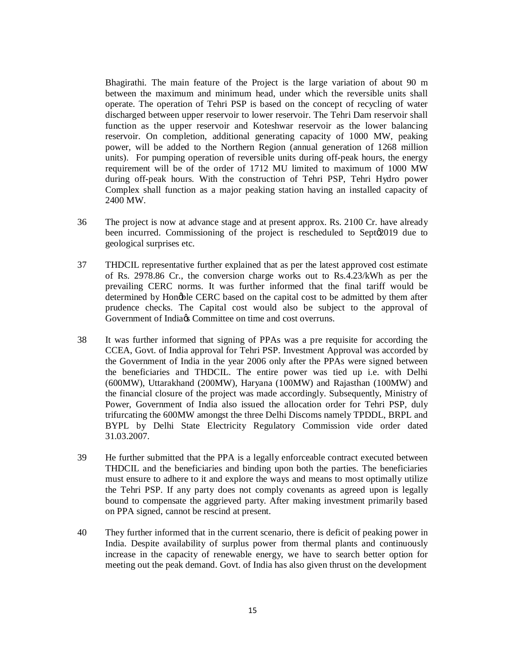Bhagirathi. The main feature of the Project is the large variation of about 90 m between the maximum and minimum head, under which the reversible units shall operate. The operation of Tehri PSP is based on the concept of recycling of water discharged between upper reservoir to lower reservoir. The Tehri Dam reservoir shall function as the upper reservoir and Koteshwar reservoir as the lower balancing reservoir. On completion, additional generating capacity of 1000 MW, peaking power, will be added to the Northern Region (annual generation of 1268 million units). For pumping operation of reversible units during off-peak hours, the energy requirement will be of the order of 1712 MU limited to maximum of 1000 MW during off-peak hours. With the construction of Tehri PSP, Tehri Hydro power Complex shall function as a major peaking station having an installed capacity of 2400 MW.

- 36 The project is now at advance stage and at present approx. Rs. 2100 Cr. have already been incurred. Commissioning of the project is rescheduled to Sept $\mathcal{Q}019$  due to geological surprises etc.
- 37 THDCIL representative further explained that as per the latest approved cost estimate of Rs. 2978.86 Cr., the conversion charge works out to Rs.4.23/kWh as per the prevailing CERC norms. It was further informed that the final tariff would be determined by Honøble CERC based on the capital cost to be admitted by them after prudence checks. The Capital cost would also be subject to the approval of Government of India $\alpha$  Committee on time and cost overruns.
- 38 It was further informed that signing of PPAs was a pre requisite for according the CCEA, Govt. of India approval for Tehri PSP. Investment Approval was accorded by the Government of India in the year 2006 only after the PPAs were signed between the beneficiaries and THDCIL. The entire power was tied up i.e. with Delhi (600MW), Uttarakhand (200MW), Haryana (100MW) and Rajasthan (100MW) and the financial closure of the project was made accordingly. Subsequently, Ministry of Power, Government of India also issued the allocation order for Tehri PSP, duly trifurcating the 600MW amongst the three Delhi Discoms namely TPDDL, BRPL and BYPL by Delhi State Electricity Regulatory Commission vide order dated 31.03.2007.
- 39 He further submitted that the PPA is a legally enforceable contract executed between THDCIL and the beneficiaries and binding upon both the parties. The beneficiaries must ensure to adhere to it and explore the ways and means to most optimally utilize the Tehri PSP. If any party does not comply covenants as agreed upon is legally bound to compensate the aggrieved party. After making investment primarily based on PPA signed, cannot be rescind at present.
- 40 They further informed that in the current scenario, there is deficit of peaking power in India. Despite availability of surplus power from thermal plants and continuously increase in the capacity of renewable energy, we have to search better option for meeting out the peak demand. Govt. of India has also given thrust on the development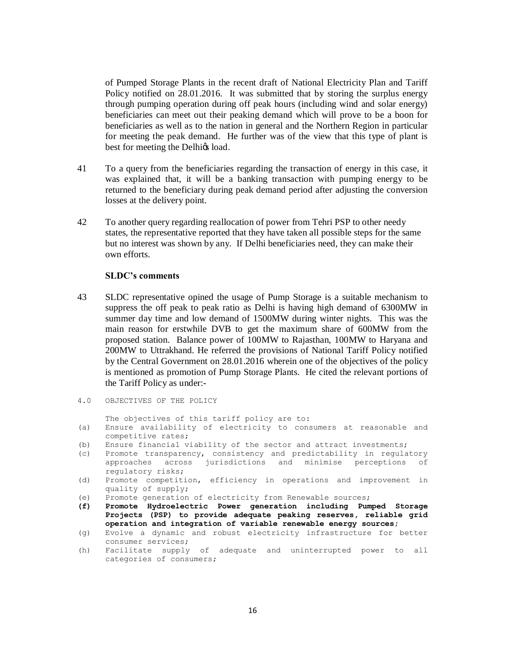of Pumped Storage Plants in the recent draft of National Electricity Plan and Tariff Policy notified on 28.01.2016. It was submitted that by storing the surplus energy through pumping operation during off peak hours (including wind and solar energy) beneficiaries can meet out their peaking demand which will prove to be a boon for beneficiaries as well as to the nation in general and the Northern Region in particular for meeting the peak demand. He further was of the view that this type of plant is best for meeting the Delhigs load.

- 41 To a query from the beneficiaries regarding the transaction of energy in this case, it was explained that, it will be a banking transaction with pumping energy to be returned to the beneficiary during peak demand period after adjusting the conversion losses at the delivery point.
- 42 To another query regarding reallocation of power from Tehri PSP to other needy states, the representative reported that they have taken all possible steps for the same but no interest was shown by any. If Delhi beneficiaries need, they can make their own efforts.

#### **SLDC's comments**

- 43 SLDC representative opined the usage of Pump Storage is a suitable mechanism to suppress the off peak to peak ratio as Delhi is having high demand of 6300MW in summer day time and low demand of 1500MW during winter nights. This was the main reason for erstwhile DVB to get the maximum share of 600MW from the proposed station. Balance power of 100MW to Rajasthan, 100MW to Haryana and 200MW to Uttrakhand. He referred the provisions of National Tariff Policy notified by the Central Government on 28.01.2016 wherein one of the objectives of the policy is mentioned as promotion of Pump Storage Plants. He cited the relevant portions of the Tariff Policy as under:-
- 4.0 OBJECTIVES OF THE POLICY

The objectives of this tariff policy are to:

- (a) Ensure availability of electricity to consumers at reasonable and competitive rates;
- (b) Ensure financial viability of the sector and attract investments;
- (c) Promote transparency, consistency and predictability in regulatory approaches across jurisdictions and minimise perceptions of regulatory risks;
- (d) Promote competition, efficiency in operations and improvement in quality of supply;
- (e) Promote generation of electricity from Renewable sources;
- **(f) Promote Hydroelectric Power generation including Pumped Storage Projects (PSP) to provide adequate peaking reserves, reliable grid operation and integration of variable renewable energy sources;**
- (g) Evolve a dynamic and robust electricity infrastructure for better consumer services;
- (h) Facilitate supply of adequate and uninterrupted power to all categories of consumers;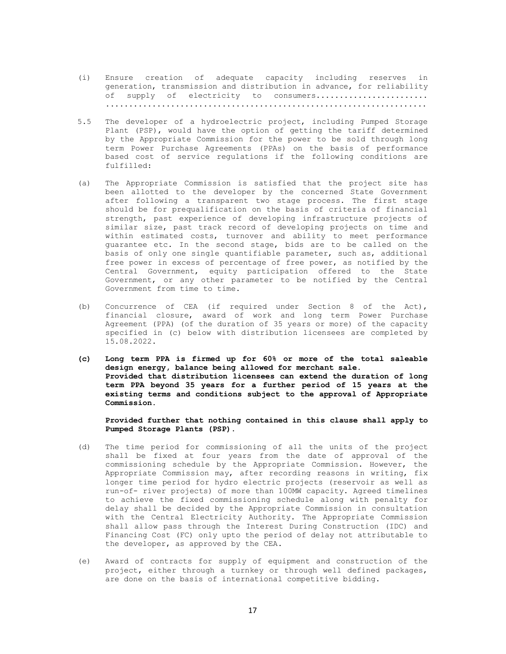- (i) Ensure creation of adequate capacity including reserves in generation, transmission and distribution in advance, for reliability of supply of electricity to consumers....................... .....................................................................
- 5.5 The developer of a hydroelectric project, including Pumped Storage Plant (PSP), would have the option of getting the tariff determined by the Appropriate Commission for the power to be sold through long term Power Purchase Agreements (PPAs) on the basis of performance based cost of service regulations if the following conditions are fulfilled:
- (a) The Appropriate Commission is satisfied that the project site has been allotted to the developer by the concerned State Government after following a transparent two stage process. The first stage should be for prequalification on the basis of criteria of financial strength, past experience of developing infrastructure projects of similar size, past track record of developing projects on time and within estimated costs, turnover and ability to meet performance guarantee etc. In the second stage, bids are to be called on the basis of only one single quantifiable parameter, such as, additional free power in excess of percentage of free power, as notified by the Central Government, equity participation offered to the State Government, or any other parameter to be notified by the Central Government from time to time.
- (b) Concurrence of CEA (if required under Section 8 of the Act), financial closure, award of work and long term Power Purchase Agreement (PPA) (of the duration of 35 years or more) of the capacity specified in (c) below with distribution licensees are completed by 15.08.2022.
- **(c) Long term PPA is firmed up for 60% or more of the total saleable design energy, balance being allowed for merchant sale. Provided that distribution licensees can extend the duration of long term PPA beyond 35 years for a further period of 15 years at the existing terms and conditions subject to the approval of Appropriate Commission.**

**Provided further that nothing contained in this clause shall apply to Pumped Storage Plants (PSP).**

- (d) The time period for commissioning of all the units of the project shall be fixed at four years from the date of approval of the commissioning schedule by the Appropriate Commission. However, the Appropriate Commission may, after recording reasons in writing, fix longer time period for hydro electric projects (reservoir as well as run-of- river projects) of more than 100MW capacity. Agreed timelines to achieve the fixed commissioning schedule along with penalty for delay shall be decided by the Appropriate Commission in consultation with the Central Electricity Authority. The Appropriate Commission shall allow pass through the Interest During Construction (IDC) and Financing Cost (FC) only upto the period of delay not attributable to the developer, as approved by the CEA.
- (e) Award of contracts for supply of equipment and construction of the project, either through a turnkey or through well defined packages, are done on the basis of international competitive bidding.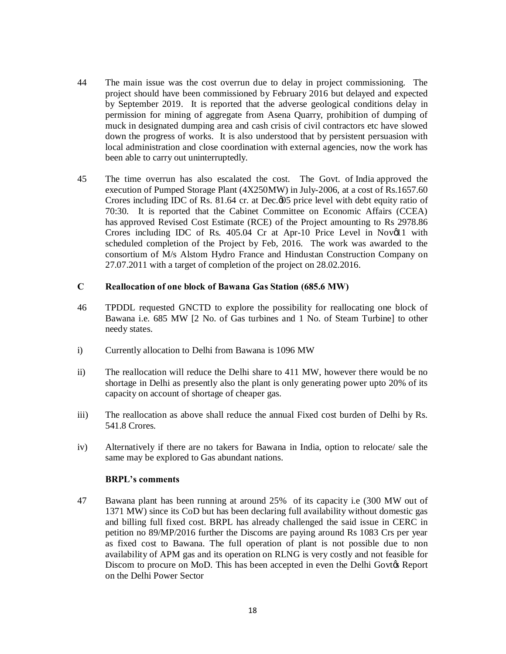- 44 The main issue was the cost overrun due to delay in project commissioning. The project should have been commissioned by February 2016 but delayed and expected by September 2019. It is reported that the adverse geological conditions delay in permission for mining of aggregate from Asena Quarry, prohibition of dumping of muck in designated dumping area and cash crisis of civil contractors etc have slowed down the progress of works. It is also understood that by persistent persuasion with local administration and close coordination with external agencies, now the work has been able to carry out uninterruptedly.
- 45 The time overrun has also escalated the cost. The Govt. of India approved the execution of Pumped Storage Plant (4X250MW) in July-2006, at a cost of Rs.1657.60 Crores including IDC of Rs. 81.64 cr. at Dec. $\phi$ 05 price level with debt equity ratio of 70:30. It is reported that the Cabinet Committee on Economic Affairs (CCEA) has approved Revised Cost Estimate (RCE) of the Project amounting to Rs 2978.86 Crores including IDC of Rs.  $405.04$  Cr at Apr-10 Price Level in Nov $\emptyset$ 1 with scheduled completion of the Project by Feb, 2016. The work was awarded to the consortium of M/s Alstom Hydro France and Hindustan Construction Company on 27.07.2011 with a target of completion of the project on 28.02.2016.

# **C Reallocation of one block of Bawana Gas Station (685.6 MW)**

- 46 TPDDL requested GNCTD to explore the possibility for reallocating one block of Bawana i.e. 685 MW [2 No. of Gas turbines and 1 No. of Steam Turbine] to other needy states.
- i) Currently allocation to Delhi from Bawana is 1096 MW
- ii) The reallocation will reduce the Delhi share to 411 MW, however there would be no shortage in Delhi as presently also the plant is only generating power upto 20% of its capacity on account of shortage of cheaper gas.
- iii) The reallocation as above shall reduce the annual Fixed cost burden of Delhi by Rs. 541.8 Crores.
- iv) Alternatively if there are no takers for Bawana in India, option to relocate/ sale the same may be explored to Gas abundant nations.

### **BRPL's comments**

47 Bawana plant has been running at around 25% of its capacity i.e (300 MW out of 1371 MW) since its CoD but has been declaring full availability without domestic gas and billing full fixed cost. BRPL has already challenged the said issue in CERC in petition no 89/MP/2016 further the Discoms are paying around Rs 1083 Crs per year as fixed cost to Bawana. The full operation of plant is not possible due to non availability of APM gas and its operation on RLNG is very costly and not feasible for Discom to procure on MoD. This has been accepted in even the Delhi Govt $\⊂>g$  Report on the Delhi Power Sector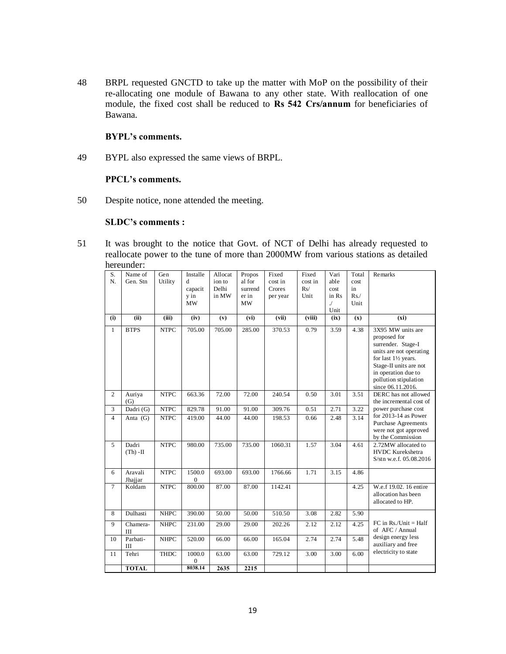48 BRPL requested GNCTD to take up the matter with MoP on the possibility of their re-allocating one module of Bawana to any other state. With reallocation of one module, the fixed cost shall be reduced to **Rs 542 Crs/annum** for beneficiaries of Bawana.

# **BYPL's comments.**

49 BYPL also expressed the same views of BRPL.

### **PPCL's comments.**

50 Despite notice, none attended the meeting.

### **SLDC's comments :**

51 It was brought to the notice that Govt. of NCT of Delhi has already requested to reallocate power to the tune of more than 2000MW from various stations as detailed hereunder:

| S.             | Name of           | Gen         | Installe                 | Allocat | Propos      | Fixed    | Fixed   | Vari             | Total         | Remarks                                       |
|----------------|-------------------|-------------|--------------------------|---------|-------------|----------|---------|------------------|---------------|-----------------------------------------------|
| N.             | Gen. Stn          | Utility     | d                        | ion to  | al for      | cost in  | cost in | able             | cost          |                                               |
|                |                   |             | capacit                  | Delhi   | surrend     | Crores   | Rs/     | cost             | in            |                                               |
|                |                   |             | y in<br><b>MW</b>        | in MW   | er in<br>MW | per year | Unit    | in Rs            | Rs. /<br>Unit |                                               |
|                |                   |             |                          |         |             |          |         | $\cal J$<br>Unit |               |                                               |
| (i)            | (ii)              | (iii)       | (iv)                     | (v)     | (vi)        | (vii)    | (viii)  | (ix)             | (x)           | (xi)                                          |
| $\mathbf{1}$   | <b>BTPS</b>       | <b>NTPC</b> | 705.00                   | 705.00  | 285.00      | 370.53   | 0.79    | 3.59             | 4.38          | 3X95 MW units are                             |
|                |                   |             |                          |         |             |          |         |                  |               | proposed for                                  |
|                |                   |             |                          |         |             |          |         |                  |               | surrender. Stage-I                            |
|                |                   |             |                          |         |             |          |         |                  |               | units are not operating                       |
|                |                   |             |                          |         |             |          |         |                  |               | for last 11/2 years.                          |
|                |                   |             |                          |         |             |          |         |                  |               | Stage-II units are not<br>in operation due to |
|                |                   |             |                          |         |             |          |         |                  |               | pollution stipulation                         |
|                |                   |             |                          |         |             |          |         |                  |               | since 06.11.2016.                             |
| $\overline{c}$ | Auriya            | <b>NTPC</b> | 663.36                   | 72.00   | 72.00       | 240.54   | 0.50    | 3.01             | 3.51          | DERC has not allowed                          |
|                | (G)               |             |                          |         |             |          |         |                  |               | the incremental cost of                       |
| 3              | Dadri (G)         | <b>NTPC</b> | 829.78                   | 91.00   | 91.00       | 309.76   | 0.51    | 2.71             | 3.22          | power purchase cost                           |
| $\overline{4}$ | Anta $(G)$        | <b>NTPC</b> | 419.00                   | 44.00   | 44.00       | 198.53   | 0.66    | 2.48             | 3.14          | for $2013-14$ as Power                        |
|                |                   |             |                          |         |             |          |         |                  |               | <b>Purchase Agreements</b>                    |
|                |                   |             |                          |         |             |          |         |                  |               | were not got approved<br>by the Commission    |
| 5              | Dadri             | <b>NTPC</b> | 980.00                   | 735.00  | 735.00      | 1060.31  | 1.57    | 3.04             | 4.61          | 2.72MW allocated to                           |
|                | $(Th)$ -II        |             |                          |         |             |          |         |                  |               | HVDC Kurekshetra                              |
|                |                   |             |                          |         |             |          |         |                  |               | S/stn w.e.f. 05.08.2016                       |
|                |                   |             |                          |         |             |          |         |                  |               |                                               |
| 6              | Aravali           | <b>NTPC</b> | 1500.0                   | 693.00  | 693.00      | 1766.66  | 1.71    | 3.15             | 4.86          |                                               |
| $\tau$         | Jhajjar<br>Koldam | <b>NTPC</b> | $\overline{0}$<br>800.00 | 87.00   | 87.00       | 1142.41  |         |                  | 4.25          | W.e.f 19.02. 16 entire                        |
|                |                   |             |                          |         |             |          |         |                  |               | allocation has been                           |
|                |                   |             |                          |         |             |          |         |                  |               | allocated to HP.                              |
|                |                   |             |                          |         |             |          |         |                  |               |                                               |
| 8              | Dulhasti          | <b>NHPC</b> | 390.00                   | 50.00   | 50.00       | 510.50   | 3.08    | 2.82             | 5.90          |                                               |
| 9              | Chamera-          | <b>NHPC</b> | 231.00                   | 29.00   | 29.00       | 202.26   | 2.12    | 2.12             | 4.25          | $FC$ in $Rs./Unit = Half$<br>of AFC / Annual  |
|                | Ш                 |             |                          |         |             |          |         |                  |               | design energy less                            |
| 10             | Parbati-          | <b>NHPC</b> | 520.00                   | 66.00   | 66.00       | 165.04   | 2.74    | 2.74             | 5.48          | auxiliary and free                            |
| 11             | Ш<br>Tehri        | <b>THDC</b> | 1000.0                   | 63.00   | 63.00       | 729.12   | 3.00    | 3.00             | 6.00          | electricity to state                          |
|                |                   |             | $\overline{0}$           |         |             |          |         |                  |               |                                               |
|                | <b>TOTAL</b>      |             | 8038.14                  | 2635    | 2215        |          |         |                  |               |                                               |
|                |                   |             |                          |         |             |          |         |                  |               |                                               |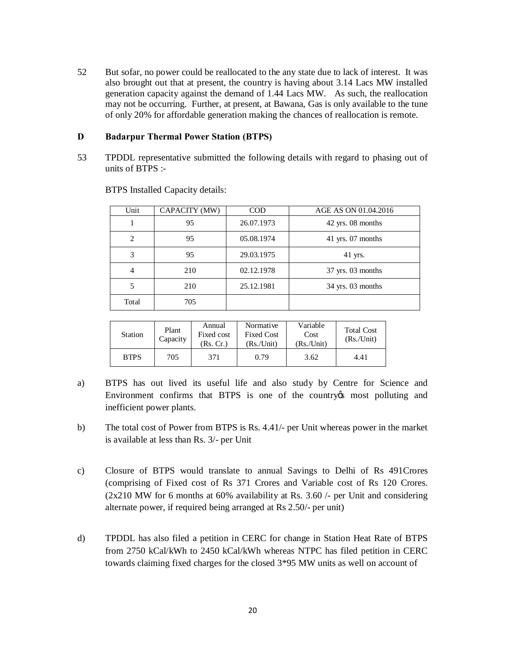52 But sofar, no power could be reallocated to the any state due to lack of interest. It was also brought out that at present, the country is having about 3.14 Lacs MW installed generation capacity against the demand of 1.44 Lacs MW. As such, the reallocation may not be occurring. Further, at present, at Bawana, Gas is only available to the tune of only 20% for affordable generation making the chances of reallocation is remote.

# **D Badarpur Thermal Power Station (BTPS)**

53 TPDDL representative submitted the following details with regard to phasing out of units of BTPS :-

| Unit           | CAPACITY (MW) | <b>COD</b> | AGE AS ON 01.04.2016 |
|----------------|---------------|------------|----------------------|
|                | 95            | 26.07.1973 | $42$ yrs. 08 months  |
| $\mathfrak{D}$ | 95            | 05.08.1974 | $41$ yrs. 07 months  |
| 3              | 95            | 29.03.1975 | 41 yrs.              |
| $\overline{4}$ | 210           | 02.12.1978 | $37$ yrs. 03 months  |
| 5              | 210           | 25.12.1981 | $34$ yrs. 03 months  |
| Total          | 705           |            |                      |

BTPS Installed Capacity details:

| <b>Station</b> | Plant<br>Capacity | Annual<br>Fixed cost<br>(Rs. Cr.) | Normative<br><b>Fixed Cost</b><br>(Rs./Unit) | Variable<br>Cost<br>(Rs./Unit) | <b>Total Cost</b><br>(Rs/Unit) |
|----------------|-------------------|-----------------------------------|----------------------------------------------|--------------------------------|--------------------------------|
| <b>BTPS</b>    | 705               | 371                               | 0.79                                         | 3.62                           | 4.41                           |

- a) BTPS has out lived its useful life and also study by Centre for Science and Environment confirms that BTPS is one of the country the most polluting and inefficient power plants.
- b) The total cost of Power from BTPS is Rs. 4.41/- per Unit whereas power in the market is available at less than Rs. 3/- per Unit
- c) Closure of BTPS would translate to annual Savings to Delhi of Rs 491Crores (comprising of Fixed cost of Rs 371 Crores and Variable cost of Rs 120 Crores.  $(2x210 \text{ MW}$  for 6 months at 60% availability at Rs. 3.60 /- per Unit and considering alternate power, if required being arranged at Rs 2.50/- per unit)
- d) TPDDL has also filed a petition in CERC for change in Station Heat Rate of BTPS from 2750 kCal/kWh to 2450 kCal/kWh whereas NTPC has filed petition in CERC towards claiming fixed charges for the closed 3\*95 MW units as well on account of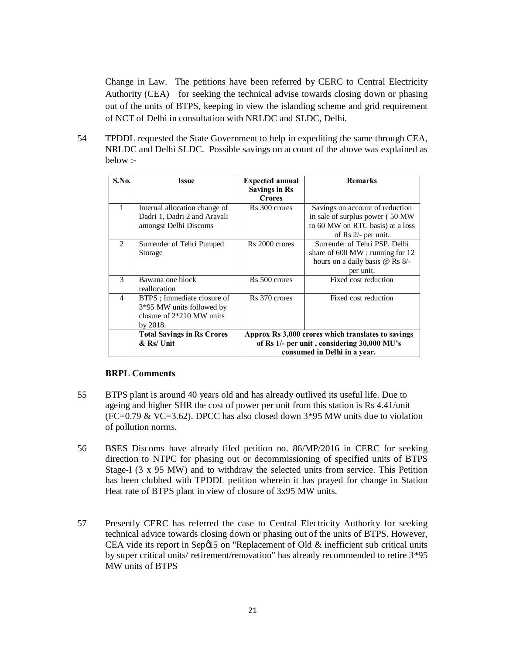Change in Law. The petitions have been referred by CERC to Central Electricity Authority (CEA) for seeking the technical advise towards closing down or phasing out of the units of BTPS, keeping in view the islanding scheme and grid requirement of NCT of Delhi in consultation with NRLDC and SLDC, Delhi.

54 TPDDL requested the State Government to help in expediting the same through CEA, NRLDC and Delhi SLDC. Possible savings on account of the above was explained as below :-

| <b>S.No.</b>   | <b>Issue</b>                                                                                           | <b>Expected annual</b><br><b>Savings in Rs</b><br><b>Crores</b> | <b>Remarks</b>                                                                                                                          |
|----------------|--------------------------------------------------------------------------------------------------------|-----------------------------------------------------------------|-----------------------------------------------------------------------------------------------------------------------------------------|
|                | Internal allocation change of<br>Dadri 1, Dadri 2 and Aravali<br>amongst Delhi Discoms                 | Rs 300 crores                                                   | Savings on account of reduction<br>in sale of surplus power (50 MW<br>to 60 MW on RTC basis) at a loss<br>of $\text{Rs } 2/-$ per unit. |
| $\mathfrak{D}$ | Surrender of Tehri Pumped<br>Storage                                                                   | Rs 2000 crores                                                  | Surrender of Tehri PSP. Delhi<br>share of $600 \text{ MW}$ ; running for 12<br>hours on a daily basis @ Rs 8/-<br>per unit.             |
| $\mathbf{3}$   | Bawana one block<br>reallocation                                                                       | Rs 500 crores                                                   | Fixed cost reduction                                                                                                                    |
| $\overline{4}$ | BTPS : Immediate closure of<br>3*95 MW units followed by<br>closure of $2*210$ MW units<br>by $2018$ . | R <sub>s</sub> 370 crores                                       | Fixed cost reduction                                                                                                                    |
|                | <b>Total Savings in Rs Crores</b>                                                                      |                                                                 | Approx Rs 3,000 crores which translates to savings                                                                                      |
|                | $&$ Rs/Unit                                                                                            |                                                                 | of Rs 1/- per unit, considering 30,000 MU's                                                                                             |
|                |                                                                                                        |                                                                 | consumed in Delhi in a year.                                                                                                            |

# **BRPL Comments**

- 55 BTPS plant is around 40 years old and has already outlived its useful life. Due to ageing and higher SHR the cost of power per unit from this station is Rs 4.41/unit (FC=0.79 & VC=3.62). DPCC has also closed down  $3*95$  MW units due to violation of pollution norms.
- 56 BSES Discoms have already filed petition no. 86/MP/2016 in CERC for seeking direction to NTPC for phasing out or decommissioning of specified units of BTPS Stage-I (3 x 95 MW) and to withdraw the selected units from service. This Petition has been clubbed with TPDDL petition wherein it has prayed for change in Station Heat rate of BTPS plant in view of closure of 3x95 MW units.
- 57 Presently CERC has referred the case to Central Electricity Authority for seeking technical advice towards closing down or phasing out of the units of BTPS. However, CEA vide its report in Sep $\emptyset$ 15 on "Replacement of Old  $\&$  inefficient sub critical units by super critical units/ retirement/renovation" has already recommended to retire 3\*95 MW units of BTPS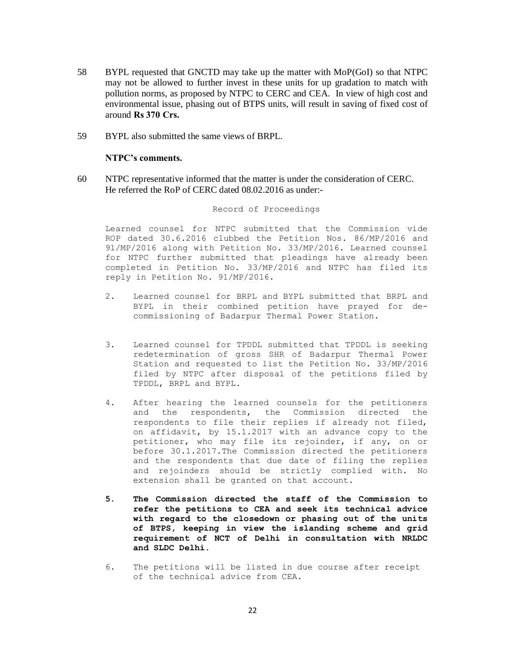- 58 BYPL requested that GNCTD may take up the matter with MoP(GoI) so that NTPC may not be allowed to further invest in these units for up gradation to match with pollution norms, as proposed by NTPC to CERC and CEA. In view of high cost and environmental issue, phasing out of BTPS units, will result in saving of fixed cost of around **Rs 370 Crs.**
- 59 BYPL also submitted the same views of BRPL.

### **NTPC's comments.**

60 NTPC representative informed that the matter is under the consideration of CERC. He referred the RoP of CERC dated 08.02.2016 as under:-

#### Record of Proceedings

Learned counsel for NTPC submitted that the Commission vide ROP dated 30.6.2016 clubbed the Petition Nos. 86/MP/2016 and 91/MP/2016 along with Petition No. 33/MP/2016. Learned counsel for NTPC further submitted that pleadings have already been completed in Petition No. 33/MP/2016 and NTPC has filed its reply in Petition No. 91/MP/2016.

- 2. Learned counsel for BRPL and BYPL submitted that BRPL and BYPL in their combined petition have prayed for decommissioning of Badarpur Thermal Power Station.
- 3. Learned counsel for TPDDL submitted that TPDDL is seeking redetermination of gross SHR of Badarpur Thermal Power Station and requested to list the Petition No. 33/MP/2016 filed by NTPC after disposal of the petitions filed by TPDDL, BRPL and BYPL.
- 4. After hearing the learned counsels for the petitioners and the respondents, the Commission directed the respondents to file their replies if already not filed, on affidavit, by 15.1.2017 with an advance copy to the petitioner, who may file its rejoinder, if any, on or before 30.1.2017.The Commission directed the petitioners and the respondents that due date of filing the replies and rejoinders should be strictly complied with. No extension shall be granted on that account.
- **5. The Commission directed the staff of the Commission to refer the petitions to CEA and seek its technical advice with regard to the closedown or phasing out of the units of BTPS, keeping in view the islanding scheme and grid requirement of NCT of Delhi in consultation with NRLDC and SLDC Delhi.**
- 6. The petitions will be listed in due course after receipt of the technical advice from CEA.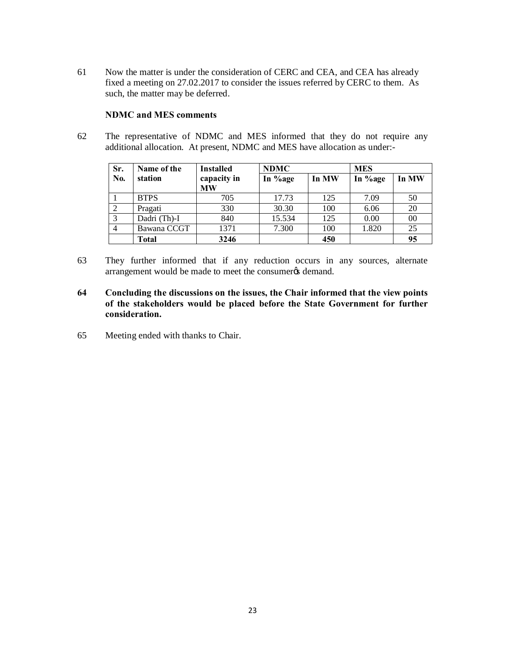61 Now the matter is under the consideration of CERC and CEA, and CEA has already fixed a meeting on 27.02.2017 to consider the issues referred by CERC to them. As such, the matter may be deferred.

# **NDMC and MES comments**

62 The representative of NDMC and MES informed that they do not require any additional allocation. At present, NDMC and MES have allocation as under:-

| Sr. | Name of the  | <b>Installed</b>         | <b>NDMC</b> |       | <b>MES</b> |       |
|-----|--------------|--------------------------|-------------|-------|------------|-------|
| No. | station      | capacity in<br><b>MW</b> | In %age     | In MW | In %age    | In MW |
|     | <b>BTPS</b>  | 705                      | 17.73       | 125   | 7.09       | 50    |
| 2   | Pragati      | 330                      | 30.30       | 100   | 6.06       | 20    |
| 3   | Dadri (Th)-I | 840                      | 15.534      | 125   | 0.00       | 00    |
| 4   | Bawana CCGT  | 1371                     | 7.300       | 100   | 1.820      | 25    |
|     | Total        | 3246                     |             | 450   |            | 95    |

- 63 They further informed that if any reduction occurs in any sources, alternate arrangement would be made to meet the consumer ts demand.
- **64 Concluding the discussions on the issues, the Chair informed that the view points of the stakeholders would be placed before the State Government for further consideration.**
- 65 Meeting ended with thanks to Chair.